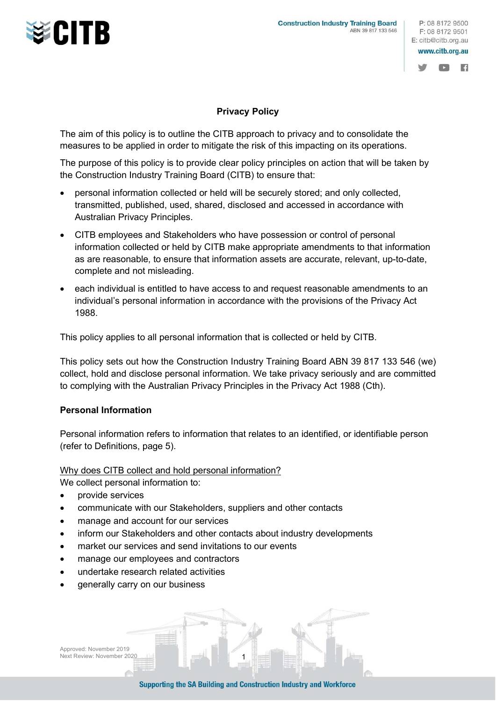



圖

## Privacy Policy

The aim of this policy is to outline the CITB approach to privacy and to consolidate the measures to be applied in order to mitigate the risk of this impacting on its operations.

The purpose of this policy is to provide clear policy principles on action that will be taken by the Construction Industry Training Board (CITB) to ensure that:

- personal information collected or held will be securely stored; and only collected, transmitted, published, used, shared, disclosed and accessed in accordance with Australian Privacy Principles.
- CITB employees and Stakeholders who have possession or control of personal information collected or held by CITB make appropriate amendments to that information as are reasonable, to ensure that information assets are accurate, relevant, up-to-date, complete and not misleading.
- each individual is entitled to have access to and request reasonable amendments to an individual's personal information in accordance with the provisions of the Privacy Act 1988.

This policy applies to all personal information that is collected or held by CITB.

This policy sets out how the Construction Industry Training Board ABN 39 817 133 546 (we) collect, hold and disclose personal information. We take privacy seriously and are committed to complying with the Australian Privacy Principles in the Privacy Act 1988 (Cth).

## Personal Information

Personal information refers to information that relates to an identified, or identifiable person (refer to Definitions, page 5).

### Why does CITB collect and hold personal information?

We collect personal information to:

- provide services
- communicate with our Stakeholders, suppliers and other contacts
- manage and account for our services
- inform our Stakeholders and other contacts about industry developments
- market our services and send invitations to our events
- manage our employees and contractors
- undertake research related activities
- generally carry on our business

Approved: November 2019 Next Review: November 2020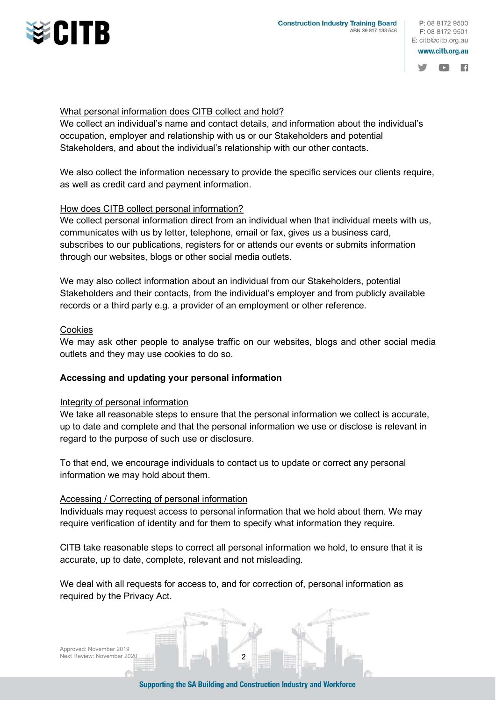





## What personal information does CITB collect and hold?

We collect an individual's name and contact details, and information about the individual's occupation, employer and relationship with us or our Stakeholders and potential Stakeholders, and about the individual's relationship with our other contacts.

We also collect the information necessary to provide the specific services our clients require, as well as credit card and payment information.

## How does CITB collect personal information?

We collect personal information direct from an individual when that individual meets with us, communicates with us by letter, telephone, email or fax, gives us a business card, subscribes to our publications, registers for or attends our events or submits information through our websites, blogs or other social media outlets.

We may also collect information about an individual from our Stakeholders, potential Stakeholders and their contacts, from the individual's employer and from publicly available records or a third party e.g. a provider of an employment or other reference.

#### Cookies

We may ask other people to analyse traffic on our websites, blogs and other social media outlets and they may use cookies to do so.

### Accessing and updating your personal information

### Integrity of personal information

We take all reasonable steps to ensure that the personal information we collect is accurate, up to date and complete and that the personal information we use or disclose is relevant in regard to the purpose of such use or disclosure.

To that end, we encourage individuals to contact us to update or correct any personal information we may hold about them.

### Accessing / Correcting of personal information

Individuals may request access to personal information that we hold about them. We may require verification of identity and for them to specify what information they require.

CITB take reasonable steps to correct all personal information we hold, to ensure that it is accurate, up to date, complete, relevant and not misleading.

We deal with all requests for access to, and for correction of, personal information as required by the Privacy Act.

Approved: November 2019 Next Review: November 2020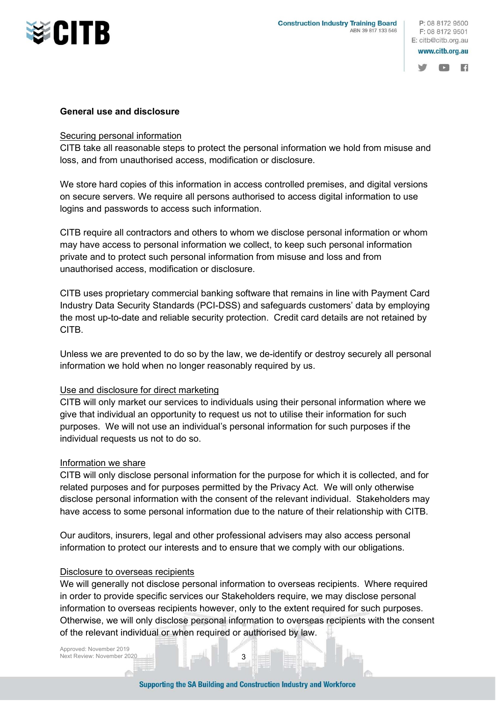



圖

## General use and disclosure

## Securing personal information

CITB take all reasonable steps to protect the personal information we hold from misuse and loss, and from unauthorised access, modification or disclosure.

We store hard copies of this information in access controlled premises, and digital versions on secure servers. We require all persons authorised to access digital information to use logins and passwords to access such information.

CITB require all contractors and others to whom we disclose personal information or whom may have access to personal information we collect, to keep such personal information private and to protect such personal information from misuse and loss and from unauthorised access, modification or disclosure.

CITB uses proprietary commercial banking software that remains in line with Payment Card Industry Data Security Standards (PCI-DSS) and safeguards customers' data by employing the most up-to-date and reliable security protection. Credit card details are not retained by CITB.

Unless we are prevented to do so by the law, we de-identify or destroy securely all personal information we hold when no longer reasonably required by us.

# Use and disclosure for direct marketing

CITB will only market our services to individuals using their personal information where we give that individual an opportunity to request us not to utilise their information for such purposes. We will not use an individual's personal information for such purposes if the individual requests us not to do so.

# Information we share

CITB will only disclose personal information for the purpose for which it is collected, and for related purposes and for purposes permitted by the Privacy Act. We will only otherwise disclose personal information with the consent of the relevant individual. Stakeholders may have access to some personal information due to the nature of their relationship with CITB.

Our auditors, insurers, legal and other professional advisers may also access personal information to protect our interests and to ensure that we comply with our obligations.

# Disclosure to overseas recipients

We will generally not disclose personal information to overseas recipients. Where required in order to provide specific services our Stakeholders require, we may disclose personal information to overseas recipients however, only to the extent required for such purposes. Otherwise, we will only disclose personal information to overseas recipients with the consent of the relevant individual or when required or authorised by law.

Approved: November 2019 Next Review: November 2020 3 3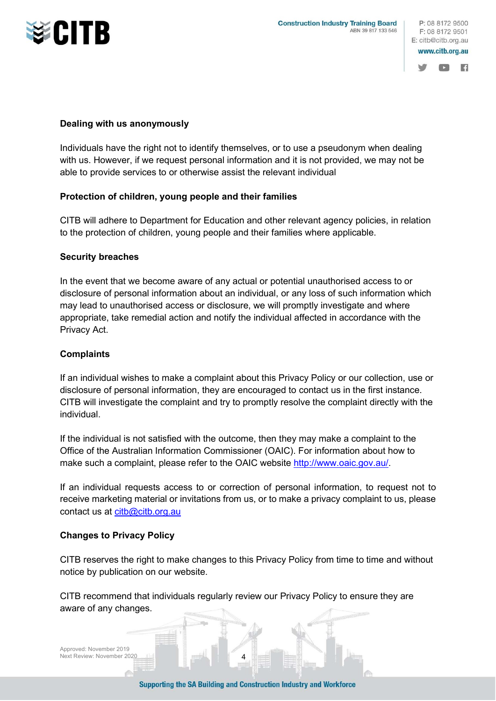





## Dealing with us anonymously

Individuals have the right not to identify themselves, or to use a pseudonym when dealing with us. However, if we request personal information and it is not provided, we may not be able to provide services to or otherwise assist the relevant individual

## Protection of children, young people and their families

CITB will adhere to Department for Education and other relevant agency policies, in relation to the protection of children, young people and their families where applicable.

## Security breaches

In the event that we become aware of any actual or potential unauthorised access to or disclosure of personal information about an individual, or any loss of such information which may lead to unauthorised access or disclosure, we will promptly investigate and where appropriate, take remedial action and notify the individual affected in accordance with the Privacy Act.

## **Complaints**

If an individual wishes to make a complaint about this Privacy Policy or our collection, use or disclosure of personal information, they are encouraged to contact us in the first instance. CITB will investigate the complaint and try to promptly resolve the complaint directly with the individual.

If the individual is not satisfied with the outcome, then they may make a complaint to the Office of the Australian Information Commissioner (OAIC). For information about how to make such a complaint, please refer to the OAIC website http://www.oaic.gov.au/.

If an individual requests access to or correction of personal information, to request not to receive marketing material or invitations from us, or to make a privacy complaint to us, please contact us at citb@citb.org.au

# Changes to Privacy Policy

CITB reserves the right to make changes to this Privacy Policy from time to time and without notice by publication on our website.

CITB recommend that individuals regularly review our Privacy Policy to ensure they are aware of any changes.

Approved: November 2019 Next Review: November 2020